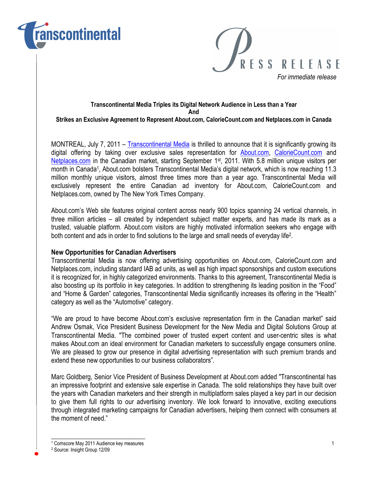



#### Transcontinental Media Triples its Digital Network Audience in Less than a Year And Strikes an Exclusive Agreement to Represent About.com, CalorieCount.com and Netplaces.com in Canada

MONTREAL, July 7, 2011 – Transcontinental Media is thrilled to announce that it is significantly growing its digital offering by taking over exclusive sales representation for About.com, CalorieCount.com and Netplaces.com in the Canadian market, starting September 1st, 2011. With 5.8 million unique visitors per month in Canada<sup>1</sup>, About.com bolsters Transcontinental Media's digital network, which is now reaching 11.3 million monthly unique visitors, almost three times more than a year ago. Transcontinental Media will exclusively represent the entire Canadian ad inventory for About.com, CalorieCount.com and Netplaces.com, owned by The New York Times Company.

About.com's Web site features original content across nearly 900 topics spanning 24 vertical channels, in three million articles – all created by independent subject matter experts, and has made its mark as a trusted, valuable platform. About.com visitors are highly motivated information seekers who engage with both content and ads in order to find solutions to the large and small needs of everyday life<sup>2</sup>.

### New Opportunities for Canadian Advertisers

Transcontinental Media is now offering advertising opportunities on About.com, CalorieCount.com and Netplaces.com, including standard IAB ad units, as well as high impact sponsorships and custom executions it is recognized for, in highly categorized environments. Thanks to this agreement, Transcontinental Media is also boosting up its portfolio in key categories. In addition to strengthening its leading position in the "Food" and "Home & Garden" categories, Transcontinental Media significantly increases its offering in the "Health" category as well as the "Automotive" category.

"We are proud to have become About.com's exclusive representation firm in the Canadian market" said Andrew Osmak, Vice President Business Development for the New Media and Digital Solutions Group at Transcontinental Media. "The combined power of trusted expert content and user-centric sites is what makes About.com an ideal environment for Canadian marketers to successfully engage consumers online. We are pleased to grow our presence in digital advertising representation with such premium brands and extend these new opportunities to our business collaborators".

Marc Goldberg, Senior Vice President of Business Development at About.com added "Transcontinental has an impressive footprint and extensive sale expertise in Canada. The solid relationships they have built over the years with Canadian marketers and their strength in multiplatform sales played a key part in our decision to give them full rights to our advertising inventory. We look forward to innovative, exciting executions through integrated marketing campaigns for Canadian advertisers, helping them connect with consumers at the moment of need."

\_\_\_\_\_\_\_\_\_\_\_\_\_\_\_\_\_\_\_\_\_\_\_\_\_\_ 1 Comscore May 2011 Audience key measures 1

<sup>2</sup> Source: Insight Group 12/09